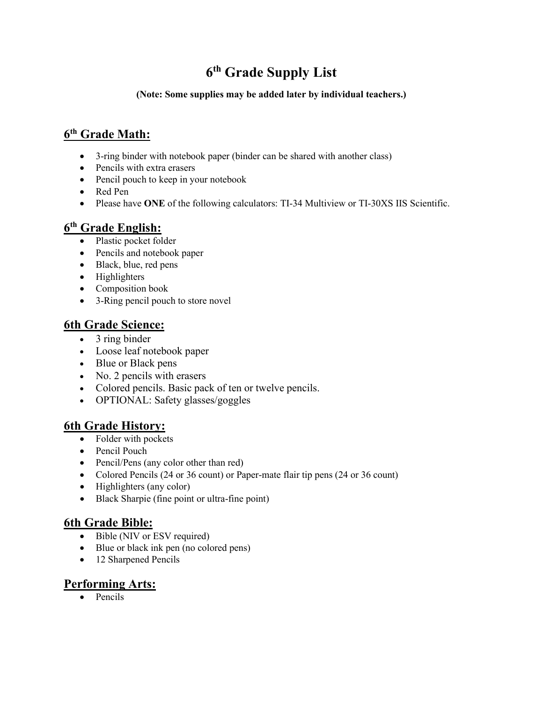# **6th Grade Supply List**

#### **(Note: Some supplies may be added later by individual teachers.)**

# **6th Grade Math:**

- 3-ring binder with notebook paper (binder can be shared with another class)
- Pencils with extra erasers
- Pencil pouch to keep in your notebook
- Red Pen
- Please have **ONE** of the following calculators: TI-34 Multiview or TI-30XS IIS Scientific.

# **6th Grade English:**

- Plastic pocket folder
- Pencils and notebook paper
- Black, blue, red pens
- Highlighters
- Composition book
- 3-Ring pencil pouch to store novel

### **6th Grade Science:**

- 3 ring binder
- Loose leaf notebook paper
- Blue or Black pens
- No. 2 pencils with erasers
- Colored pencils. Basic pack of ten or twelve pencils.
- OPTIONAL: Safety glasses/goggles

### **6th Grade History:**

- Folder with pockets
- Pencil Pouch
- Pencil/Pens (any color other than red)
- Colored Pencils (24 or 36 count) or Paper-mate flair tip pens (24 or 36 count)
- Highlighters (any color)
- Black Sharpie (fine point or ultra-fine point)

### **6th Grade Bible:**

- Bible (NIV or ESV required)
- Blue or black ink pen (no colored pens)
- 12 Sharpened Pencils

### **Performing Arts:**

• Pencils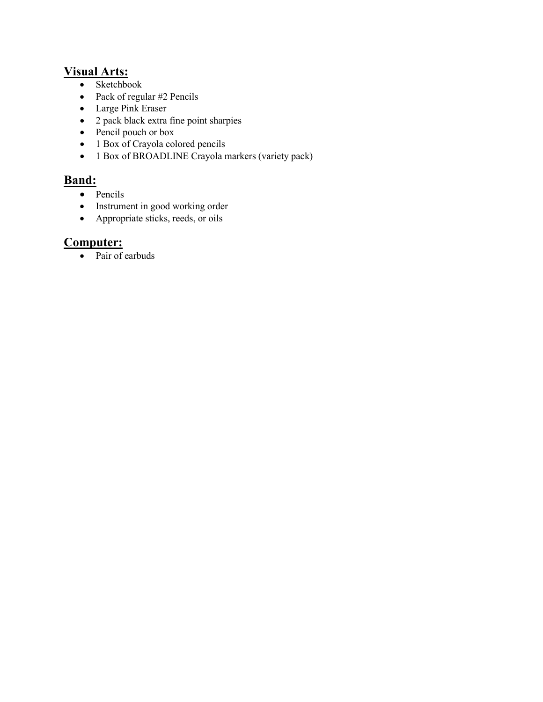### **Visual Arts:**

- Sketchbook
- Pack of regular #2 Pencils
- Large Pink Eraser
- 2 pack black extra fine point sharpies
- Pencil pouch or box
- 1 Box of Crayola colored pencils
- 1 Box of BROADLINE Crayola markers (variety pack)

# **Band:**

- Pencils
- Instrument in good working order
- Appropriate sticks, reeds, or oils

### **Computer:**

• Pair of earbuds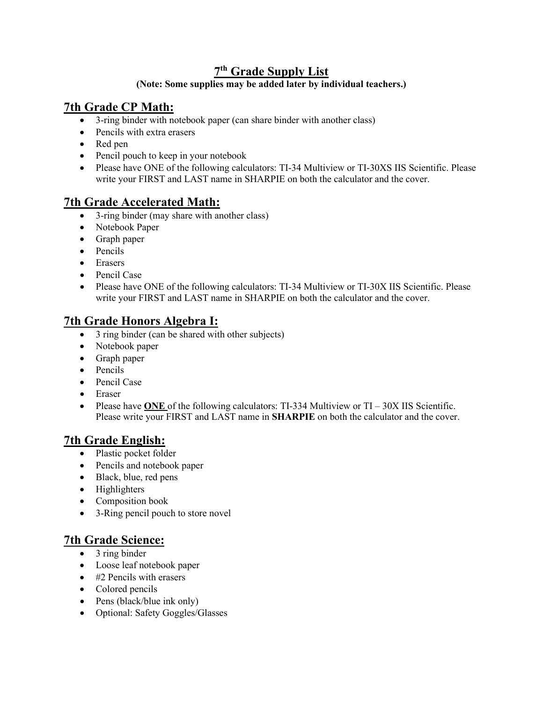## **7th Grade Supply List**

#### **(Note: Some supplies may be added later by individual teachers.)**

# **7th Grade CP Math:**

- 3-ring binder with notebook paper (can share binder with another class)
- Pencils with extra erasers
- Red pen
- Pencil pouch to keep in your notebook
- Please have ONE of the following calculators: TI-34 Multiview or TI-30XS IIS Scientific. Please write your FIRST and LAST name in SHARPIE on both the calculator and the cover.

### **7th Grade Accelerated Math:**

- 3-ring binder (may share with another class)
- Notebook Paper
- Graph paper
- Pencils
- Erasers
- Pencil Case
- Please have ONE of the following calculators: TI-34 Multiview or TI-30X IIS Scientific. Please write your FIRST and LAST name in SHARPIE on both the calculator and the cover.

### **7th Grade Honors Algebra I:**

- 3 ring binder (can be shared with other subjects)
- Notebook paper
- Graph paper
- Pencils
- Pencil Case
- Eraser
- Please have **ONE** of the following calculators: TI-334 Multiview or TI 30X IIS Scientific. Please write your FIRST and LAST name in **SHARPIE** on both the calculator and the cover.

### **7th Grade English:**

- Plastic pocket folder
- Pencils and notebook paper
- Black, blue, red pens
- Highlighters
- Composition book
- 3-Ring pencil pouch to store novel

### **7th Grade Science:**

- 3 ring binder
- Loose leaf notebook paper
- #2 Pencils with erasers
- Colored pencils
- Pens (black/blue ink only)
- Optional: Safety Goggles/Glasses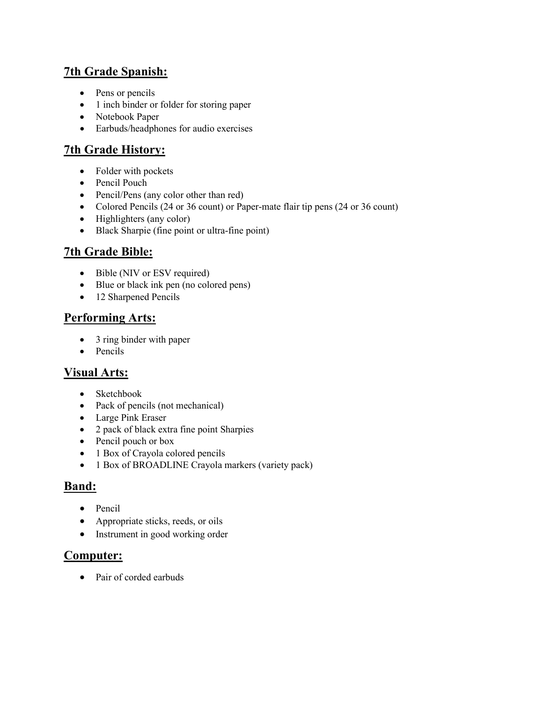# **7th Grade Spanish:**

- Pens or pencils
- 1 inch binder or folder for storing paper
- Notebook Paper
- Earbuds/headphones for audio exercises

# **7th Grade History:**

- Folder with pockets
- Pencil Pouch
- Pencil/Pens (any color other than red)
- Colored Pencils (24 or 36 count) or Paper-mate flair tip pens (24 or 36 count)
- Highlighters (any color)
- Black Sharpie (fine point or ultra-fine point)

# **7th Grade Bible:**

- Bible (NIV or ESV required)
- Blue or black ink pen (no colored pens)
- 12 Sharpened Pencils

# **Performing Arts:**

- 3 ring binder with paper
- Pencils

# **Visual Arts:**

- Sketchbook
- Pack of pencils (not mechanical)
- Large Pink Eraser
- 2 pack of black extra fine point Sharpies
- Pencil pouch or box
- 1 Box of Crayola colored pencils
- 1 Box of BROADLINE Crayola markers (variety pack)

# **Band:**

- Pencil
- Appropriate sticks, reeds, or oils
- Instrument in good working order

### **Computer:**

• Pair of corded earbuds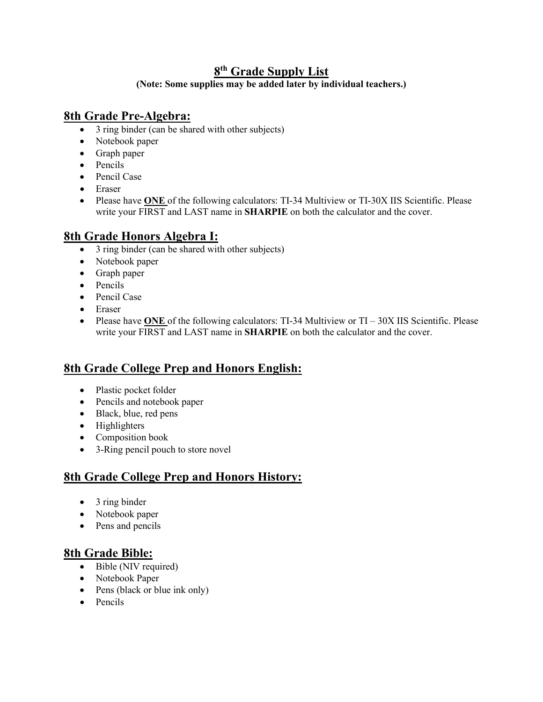# **8th Grade Supply List**

**(Note: Some supplies may be added later by individual teachers.)**

### **8th Grade Pre-Algebra:**

- 3 ring binder (can be shared with other subjects)
- Notebook paper
- Graph paper
- Pencils
- Pencil Case
- Eraser
- Please have **ONE** of the following calculators: TI-34 Multiview or TI-30X IIS Scientific. Please write your FIRST and LAST name in **SHARPIE** on both the calculator and the cover.

# **8th Grade Honors Algebra I:**

- 3 ring binder (can be shared with other subjects)
- Notebook paper
- Graph paper
- Pencils
- Pencil Case
- Eraser
- Please have **ONE** of the following calculators: TI-34 Multiview or TI 30X IIS Scientific. Please write your FIRST and LAST name in **SHARPIE** on both the calculator and the cover.

# **8th Grade College Prep and Honors English:**

- Plastic pocket folder
- Pencils and notebook paper
- Black, blue, red pens
- Highlighters
- Composition book
- 3-Ring pencil pouch to store novel

# **8th Grade College Prep and Honors History:**

- 3 ring binder
- Notebook paper
- Pens and pencils

### **8th Grade Bible:**

- Bible (NIV required)
- Notebook Paper
- Pens (black or blue ink only)
- Pencils